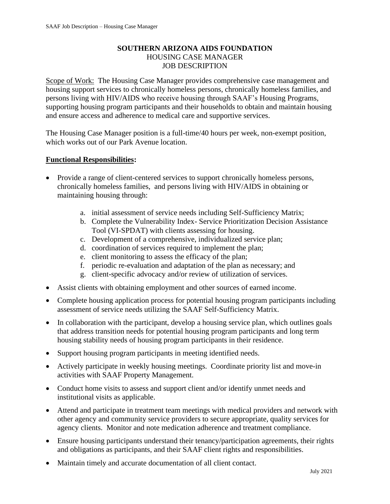## **SOUTHERN ARIZONA AIDS FOUNDATION** HOUSING CASE MANAGER JOB DESCRIPTION

Scope of Work: The Housing Case Manager provides comprehensive case management and housing support services to chronically homeless persons, chronically homeless families, and persons living with HIV/AIDS who receive housing through SAAF's Housing Programs, supporting housing program participants and their households to obtain and maintain housing and ensure access and adherence to medical care and supportive services.

The Housing Case Manager position is a full-time/40 hours per week, non-exempt position, which works out of our Park Avenue location.

## **Functional Responsibilities:**

- Provide a range of client-centered services to support chronically homeless persons, chronically homeless families, and persons living with HIV/AIDS in obtaining or maintaining housing through:
	- a. initial assessment of service needs including Self-Sufficiency Matrix;
	- b. Complete the Vulnerability Index- Service Prioritization Decision Assistance Tool (VI-SPDAT) with clients assessing for housing.
	- c. Development of a comprehensive, individualized service plan;
	- d. coordination of services required to implement the plan;
	- e. client monitoring to assess the efficacy of the plan;
	- f. periodic re-evaluation and adaptation of the plan as necessary; and
	- g. client-specific advocacy and/or review of utilization of services.
- Assist clients with obtaining employment and other sources of earned income.
- Complete housing application process for potential housing program participants including assessment of service needs utilizing the SAAF Self-Sufficiency Matrix.
- In collaboration with the participant, develop a housing service plan, which outlines goals that address transition needs for potential housing program participants and long term housing stability needs of housing program participants in their residence.
- Support housing program participants in meeting identified needs.
- Actively participate in weekly housing meetings. Coordinate priority list and move-in activities with SAAF Property Management.
- Conduct home visits to assess and support client and/or identify unmet needs and institutional visits as applicable.
- Attend and participate in treatment team meetings with medical providers and network with other agency and community service providers to secure appropriate, quality services for agency clients. Monitor and note medication adherence and treatment compliance.
- Ensure housing participants understand their tenancy/participation agreements, their rights and obligations as participants, and their SAAF client rights and responsibilities.
- Maintain timely and accurate documentation of all client contact.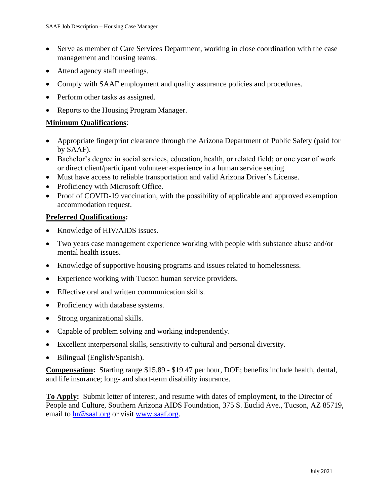- Serve as member of Care Services Department, working in close coordination with the case management and housing teams.
- Attend agency staff meetings.
- Comply with SAAF employment and quality assurance policies and procedures.
- Perform other tasks as assigned.
- Reports to the Housing Program Manager.

## **Minimum Qualifications**:

- Appropriate fingerprint clearance through the Arizona Department of Public Safety (paid for by SAAF).
- Bachelor's degree in social services, education, health, or related field; or one year of work or direct client/participant volunteer experience in a human service setting.
- Must have access to reliable transportation and valid Arizona Driver's License.
- Proficiency with Microsoft Office.
- Proof of COVID-19 vaccination, with the possibility of applicable and approved exemption accommodation request.

## **Preferred Qualifications:**

- Knowledge of HIV/AIDS issues.
- Two years case management experience working with people with substance abuse and/or mental health issues.
- Knowledge of supportive housing programs and issues related to homelessness.
- Experience working with Tucson human service providers.
- Effective oral and written communication skills.
- Proficiency with database systems.
- Strong organizational skills.
- Capable of problem solving and working independently.
- Excellent interpersonal skills, sensitivity to cultural and personal diversity.
- Bilingual (English/Spanish).

**Compensation:** Starting range \$15.89 - \$19.47 per hour, DOE; benefits include health, dental, and life insurance; long- and short-term disability insurance.

**To Apply:** Submit letter of interest, and resume with dates of employment, to the Director of People and Culture, Southern Arizona AIDS Foundation, 375 S. Euclid Ave., Tucson, AZ 85719, email to [hr@saaf.org](mailto:hr@saaf.org) or visit [www.saaf.org.](http://www.saaf.org/)